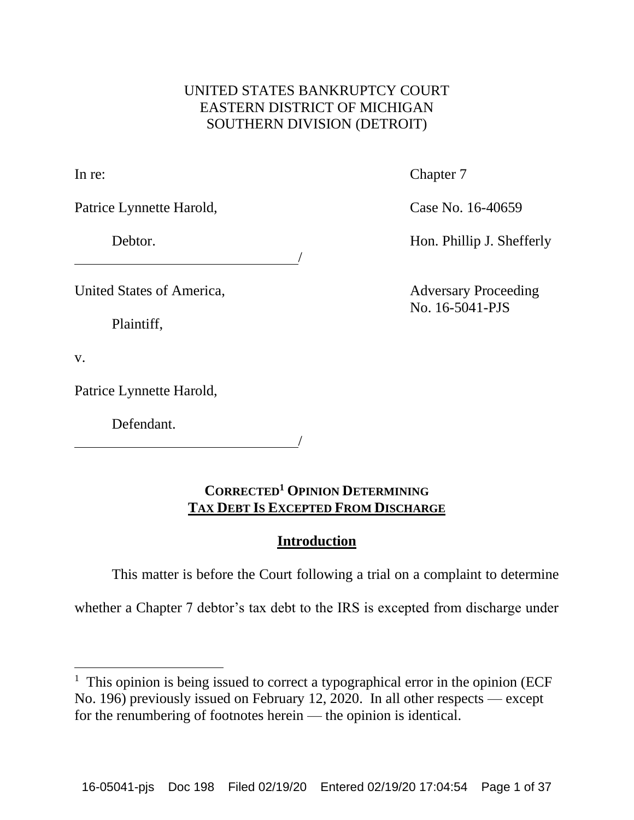## UNITED STATES BANKRUPTCY COURT EASTERN DISTRICT OF MICHIGAN SOUTHERN DIVISION (DETROIT)

/

In re: Chapter 7

Patrice Lynnette Harold, Case No. 16-40659

Debtor. **Hon. Phillip J. Shefferly** 

Plaintiff,

United States of America, Adversary Proceeding No. 16-5041-PJS

v.

Patrice Lynnette Harold,

Defendant.

/

# **CORRECTED<sup>1</sup> OPINION DETERMINING TAX DEBT IS EXCEPTED FROM DISCHARGE**

# **Introduction**

This matter is before the Court following a trial on a complaint to determine

whether a Chapter 7 debtor's tax debt to the IRS is excepted from discharge under

<sup>&</sup>lt;sup>1</sup> This opinion is being issued to correct a typographical error in the opinion (ECF No. 196) previously issued on February 12, 2020. In all other respects — except for the renumbering of footnotes herein — the opinion is identical.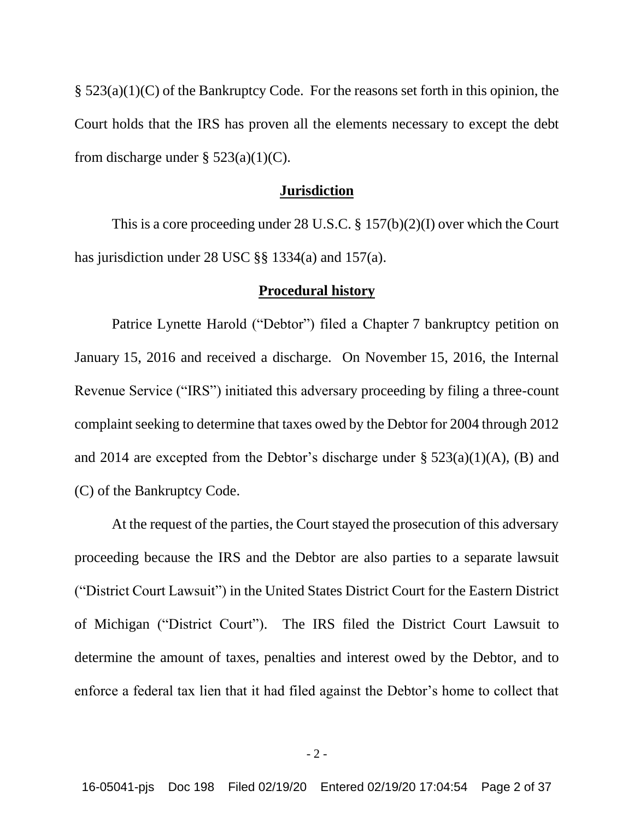§ 523(a)(1)(C) of the Bankruptcy Code. For the reasons set forth in this opinion, the Court holds that the IRS has proven all the elements necessary to except the debt from discharge under  $\S$  523(a)(1)(C).

#### **Jurisdiction**

This is a core proceeding under 28 U.S.C. § 157(b)(2)(I) over which the Court has jurisdiction under 28 USC §§ 1334(a) and 157(a).

### **Procedural history**

Patrice Lynette Harold ("Debtor") filed a Chapter 7 bankruptcy petition on January 15, 2016 and received a discharge. On November 15, 2016, the Internal Revenue Service ("IRS") initiated this adversary proceeding by filing a three-count complaint seeking to determine that taxes owed by the Debtor for 2004 through 2012 and 2014 are excepted from the Debtor's discharge under  $\S$  523(a)(1)(A), (B) and (C) of the Bankruptcy Code.

At the request of the parties, the Court stayed the prosecution of this adversary proceeding because the IRS and the Debtor are also parties to a separate lawsuit ("District Court Lawsuit") in the United States District Court for the Eastern District of Michigan ("District Court"). The IRS filed the District Court Lawsuit to determine the amount of taxes, penalties and interest owed by the Debtor, and to enforce a federal tax lien that it had filed against the Debtor's home to collect that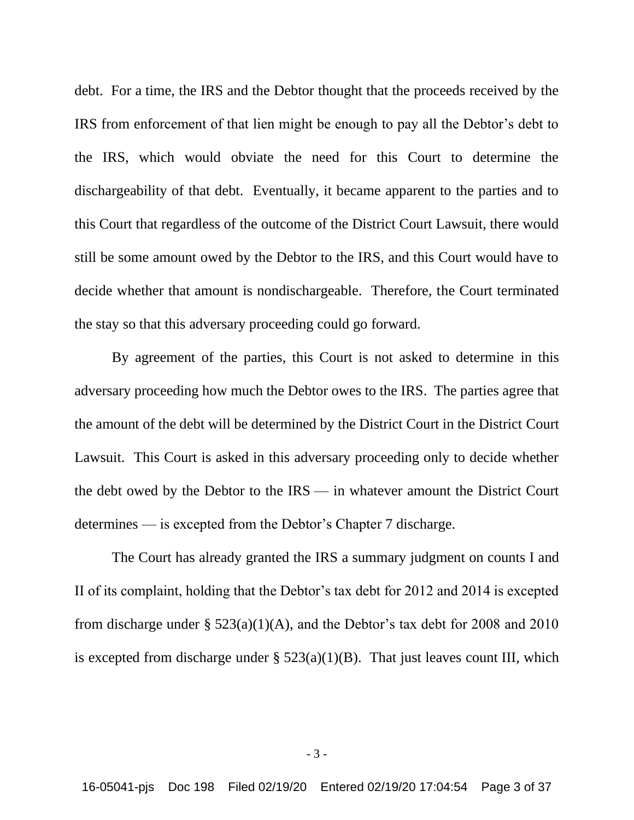debt. For a time, the IRS and the Debtor thought that the proceeds received by the IRS from enforcement of that lien might be enough to pay all the Debtor's debt to the IRS, which would obviate the need for this Court to determine the dischargeability of that debt. Eventually, it became apparent to the parties and to this Court that regardless of the outcome of the District Court Lawsuit, there would still be some amount owed by the Debtor to the IRS, and this Court would have to decide whether that amount is nondischargeable. Therefore, the Court terminated the stay so that this adversary proceeding could go forward.

By agreement of the parties, this Court is not asked to determine in this adversary proceeding how much the Debtor owes to the IRS. The parties agree that the amount of the debt will be determined by the District Court in the District Court Lawsuit. This Court is asked in this adversary proceeding only to decide whether the debt owed by the Debtor to the IRS — in whatever amount the District Court determines — is excepted from the Debtor's Chapter 7 discharge.

The Court has already granted the IRS a summary judgment on counts I and II of its complaint, holding that the Debtor's tax debt for 2012 and 2014 is excepted from discharge under §  $523(a)(1)(A)$ , and the Debtor's tax debt for 2008 and 2010 is excepted from discharge under  $\S$  523(a)(1)(B). That just leaves count III, which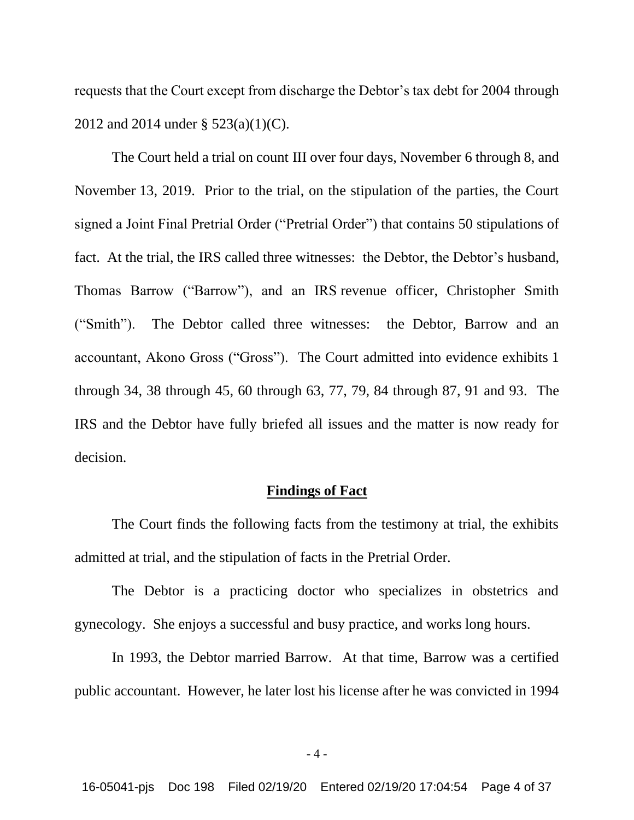requests that the Court except from discharge the Debtor's tax debt for 2004 through 2012 and 2014 under § 523(a)(1)(C).

The Court held a trial on count III over four days, November 6 through 8, and November 13, 2019. Prior to the trial, on the stipulation of the parties, the Court signed a Joint Final Pretrial Order ("Pretrial Order") that contains 50 stipulations of fact. At the trial, the IRS called three witnesses: the Debtor, the Debtor's husband, Thomas Barrow ("Barrow"), and an IRS revenue officer, Christopher Smith ("Smith"). The Debtor called three witnesses: the Debtor, Barrow and an accountant, Akono Gross ("Gross"). The Court admitted into evidence exhibits 1 through 34, 38 through 45, 60 through 63, 77, 79, 84 through 87, 91 and 93. The IRS and the Debtor have fully briefed all issues and the matter is now ready for decision.

### **Findings of Fact**

The Court finds the following facts from the testimony at trial, the exhibits admitted at trial, and the stipulation of facts in the Pretrial Order.

The Debtor is a practicing doctor who specializes in obstetrics and gynecology. She enjoys a successful and busy practice, and works long hours.

In 1993, the Debtor married Barrow. At that time, Barrow was a certified public accountant. However, he later lost his license after he was convicted in 1994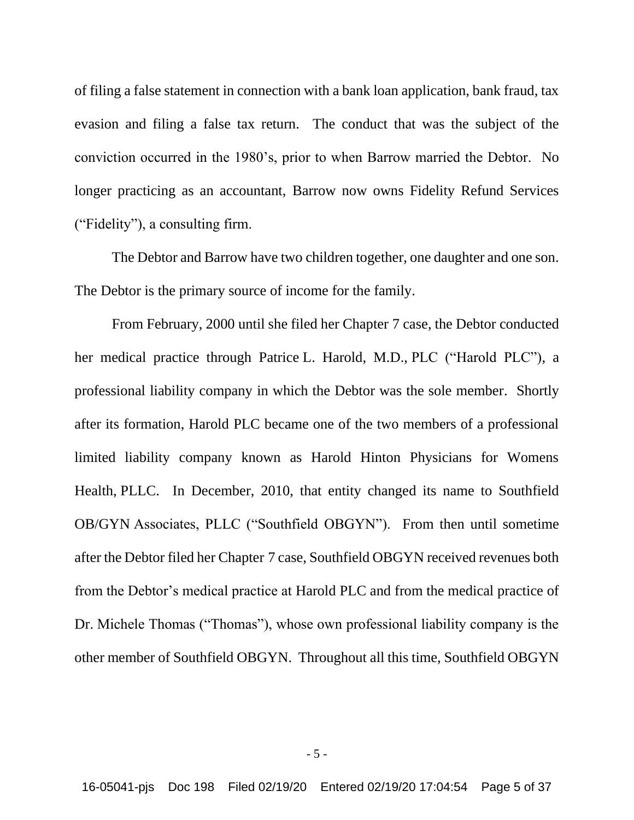of filing a false statement in connection with a bank loan application, bank fraud, tax evasion and filing a false tax return. The conduct that was the subject of the conviction occurred in the 1980's, prior to when Barrow married the Debtor. No longer practicing as an accountant, Barrow now owns Fidelity Refund Services ("Fidelity"), a consulting firm.

The Debtor and Barrow have two children together, one daughter and one son. The Debtor is the primary source of income for the family.

From February, 2000 until she filed her Chapter 7 case, the Debtor conducted her medical practice through Patrice L. Harold, M.D., PLC ("Harold PLC"), a professional liability company in which the Debtor was the sole member. Shortly after its formation, Harold PLC became one of the two members of a professional limited liability company known as Harold Hinton Physicians for Womens Health, PLLC. In December, 2010, that entity changed its name to Southfield OB/GYN Associates, PLLC ("Southfield OBGYN"). From then until sometime after the Debtor filed her Chapter 7 case, Southfield OBGYN received revenues both from the Debtor's medical practice at Harold PLC and from the medical practice of Dr. Michele Thomas ("Thomas"), whose own professional liability company is the other member of Southfield OBGYN. Throughout all this time, Southfield OBGYN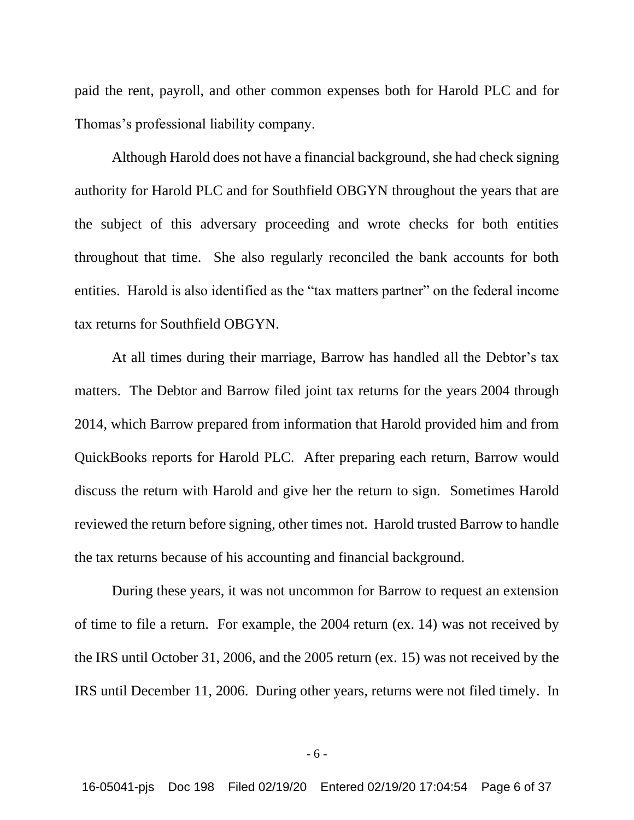paid the rent, payroll, and other common expenses both for Harold PLC and for Thomas's professional liability company.

Although Harold does not have a financial background, she had check signing authority for Harold PLC and for Southfield OBGYN throughout the years that are the subject of this adversary proceeding and wrote checks for both entities throughout that time. She also regularly reconciled the bank accounts for both entities. Harold is also identified as the "tax matters partner" on the federal income tax returns for Southfield OBGYN.

At all times during their marriage, Barrow has handled all the Debtor's tax matters. The Debtor and Barrow filed joint tax returns for the years 2004 through 2014, which Barrow prepared from information that Harold provided him and from QuickBooks reports for Harold PLC. After preparing each return, Barrow would discuss the return with Harold and give her the return to sign. Sometimes Harold reviewed the return before signing, other times not. Harold trusted Barrow to handle the tax returns because of his accounting and financial background.

During these years, it was not uncommon for Barrow to request an extension of time to file a return. For example, the 2004 return (ex. 14) was not received by the IRS until October 31, 2006, and the 2005 return (ex. 15) was not received by the IRS until December 11, 2006. During other years, returns were not filed timely. In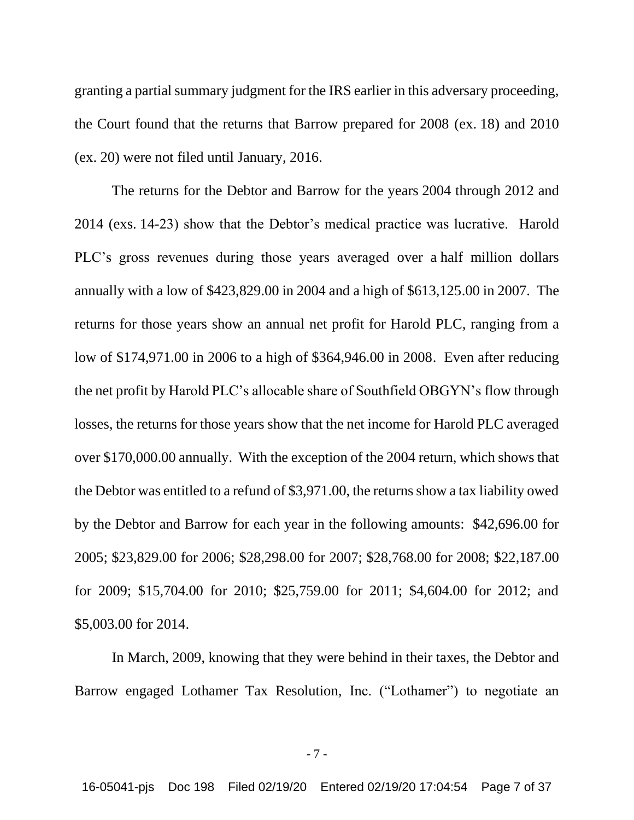granting a partial summary judgment for the IRS earlier in this adversary proceeding, the Court found that the returns that Barrow prepared for 2008 (ex. 18) and 2010 (ex. 20) were not filed until January, 2016.

The returns for the Debtor and Barrow for the years 2004 through 2012 and 2014 (exs. 14-23) show that the Debtor's medical practice was lucrative. Harold PLC's gross revenues during those years averaged over a half million dollars annually with a low of \$423,829.00 in 2004 and a high of \$613,125.00 in 2007. The returns for those years show an annual net profit for Harold PLC, ranging from a low of \$174,971.00 in 2006 to a high of \$364,946.00 in 2008. Even after reducing the net profit by Harold PLC's allocable share of Southfield OBGYN's flow through losses, the returns for those years show that the net income for Harold PLC averaged over \$170,000.00 annually. With the exception of the 2004 return, which shows that the Debtor was entitled to a refund of \$3,971.00, the returns show a tax liability owed by the Debtor and Barrow for each year in the following amounts: \$42,696.00 for 2005; \$23,829.00 for 2006; \$28,298.00 for 2007; \$28,768.00 for 2008; \$22,187.00 for 2009; \$15,704.00 for 2010; \$25,759.00 for 2011; \$4,604.00 for 2012; and \$5,003.00 for 2014.

In March, 2009, knowing that they were behind in their taxes, the Debtor and Barrow engaged Lothamer Tax Resolution, Inc. ("Lothamer") to negotiate an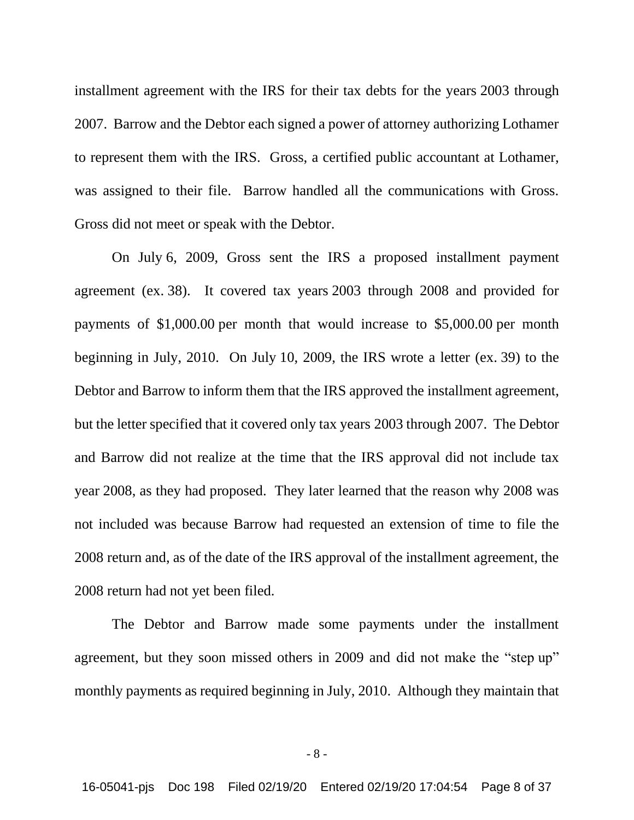installment agreement with the IRS for their tax debts for the years 2003 through 2007. Barrow and the Debtor each signed a power of attorney authorizing Lothamer to represent them with the IRS. Gross, a certified public accountant at Lothamer, was assigned to their file. Barrow handled all the communications with Gross. Gross did not meet or speak with the Debtor.

On July 6, 2009, Gross sent the IRS a proposed installment payment agreement (ex. 38). It covered tax years 2003 through 2008 and provided for payments of \$1,000.00 per month that would increase to \$5,000.00 per month beginning in July, 2010. On July 10, 2009, the IRS wrote a letter (ex. 39) to the Debtor and Barrow to inform them that the IRS approved the installment agreement, but the letter specified that it covered only tax years 2003 through 2007. The Debtor and Barrow did not realize at the time that the IRS approval did not include tax year 2008, as they had proposed. They later learned that the reason why 2008 was not included was because Barrow had requested an extension of time to file the 2008 return and, as of the date of the IRS approval of the installment agreement, the 2008 return had not yet been filed.

The Debtor and Barrow made some payments under the installment agreement, but they soon missed others in 2009 and did not make the "step up" monthly payments as required beginning in July, 2010. Although they maintain that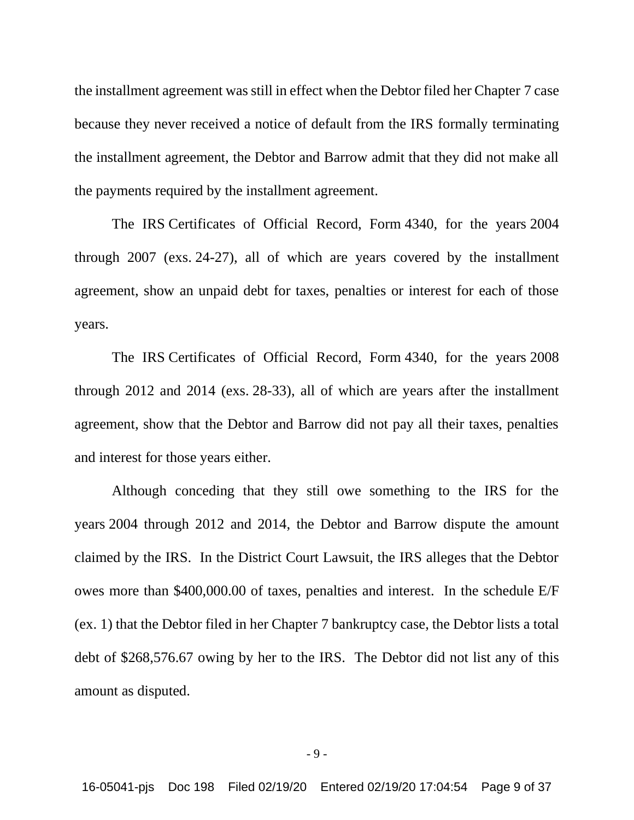the installment agreement was still in effect when the Debtor filed her Chapter 7 case because they never received a notice of default from the IRS formally terminating the installment agreement, the Debtor and Barrow admit that they did not make all the payments required by the installment agreement.

The IRS Certificates of Official Record, Form 4340, for the years 2004 through 2007 (exs. 24-27), all of which are years covered by the installment agreement, show an unpaid debt for taxes, penalties or interest for each of those years.

The IRS Certificates of Official Record, Form 4340, for the years 2008 through 2012 and 2014 (exs. 28-33), all of which are years after the installment agreement, show that the Debtor and Barrow did not pay all their taxes, penalties and interest for those years either.

Although conceding that they still owe something to the IRS for the years 2004 through 2012 and 2014, the Debtor and Barrow dispute the amount claimed by the IRS. In the District Court Lawsuit, the IRS alleges that the Debtor owes more than \$400,000.00 of taxes, penalties and interest. In the schedule E/F (ex. 1) that the Debtor filed in her Chapter 7 bankruptcy case, the Debtor lists a total debt of \$268,576.67 owing by her to the IRS. The Debtor did not list any of this amount as disputed.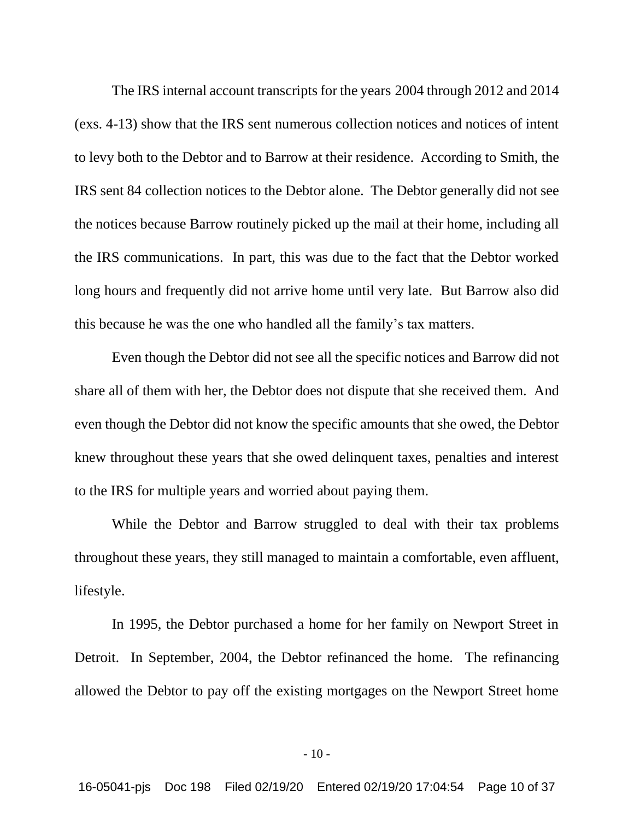The IRS internal account transcripts for the years 2004 through 2012 and 2014 (exs. 4-13) show that the IRS sent numerous collection notices and notices of intent to levy both to the Debtor and to Barrow at their residence. According to Smith, the IRS sent 84 collection notices to the Debtor alone. The Debtor generally did not see the notices because Barrow routinely picked up the mail at their home, including all the IRS communications. In part, this was due to the fact that the Debtor worked long hours and frequently did not arrive home until very late. But Barrow also did this because he was the one who handled all the family's tax matters.

Even though the Debtor did not see all the specific notices and Barrow did not share all of them with her, the Debtor does not dispute that she received them. And even though the Debtor did not know the specific amounts that she owed, the Debtor knew throughout these years that she owed delinquent taxes, penalties and interest to the IRS for multiple years and worried about paying them.

While the Debtor and Barrow struggled to deal with their tax problems throughout these years, they still managed to maintain a comfortable, even affluent, lifestyle.

In 1995, the Debtor purchased a home for her family on Newport Street in Detroit. In September, 2004, the Debtor refinanced the home. The refinancing allowed the Debtor to pay off the existing mortgages on the Newport Street home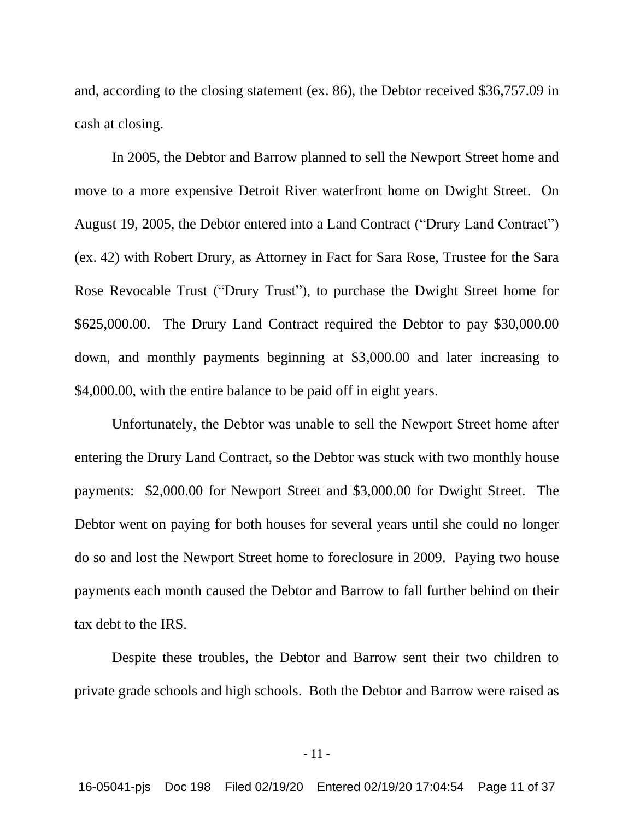and, according to the closing statement (ex. 86), the Debtor received \$36,757.09 in cash at closing.

In 2005, the Debtor and Barrow planned to sell the Newport Street home and move to a more expensive Detroit River waterfront home on Dwight Street. On August 19, 2005, the Debtor entered into a Land Contract ("Drury Land Contract") (ex. 42) with Robert Drury, as Attorney in Fact for Sara Rose, Trustee for the Sara Rose Revocable Trust ("Drury Trust"), to purchase the Dwight Street home for \$625,000.00. The Drury Land Contract required the Debtor to pay \$30,000.00 down, and monthly payments beginning at \$3,000.00 and later increasing to \$4,000.00, with the entire balance to be paid off in eight years.

Unfortunately, the Debtor was unable to sell the Newport Street home after entering the Drury Land Contract, so the Debtor was stuck with two monthly house payments: \$2,000.00 for Newport Street and \$3,000.00 for Dwight Street. The Debtor went on paying for both houses for several years until she could no longer do so and lost the Newport Street home to foreclosure in 2009. Paying two house payments each month caused the Debtor and Barrow to fall further behind on their tax debt to the IRS.

Despite these troubles, the Debtor and Barrow sent their two children to private grade schools and high schools. Both the Debtor and Barrow were raised as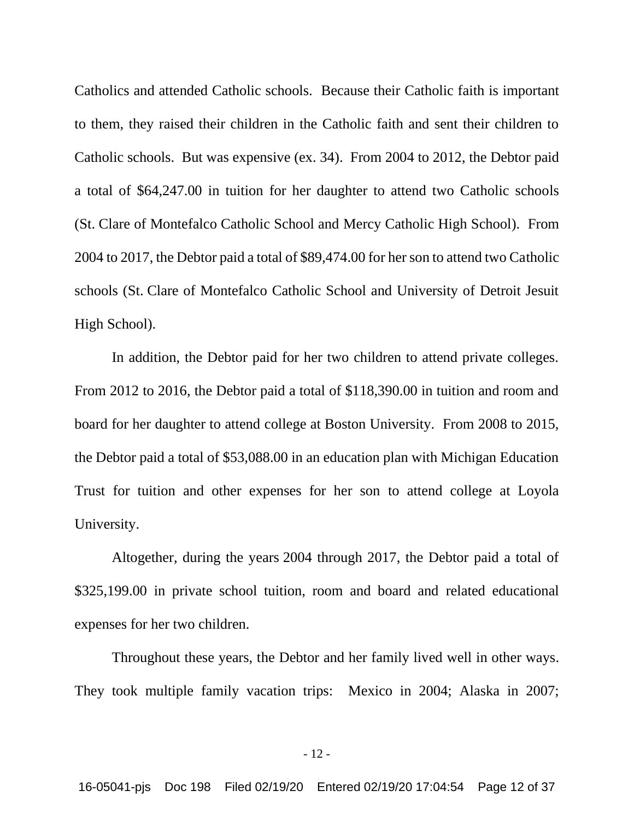Catholics and attended Catholic schools. Because their Catholic faith is important to them, they raised their children in the Catholic faith and sent their children to Catholic schools. But was expensive (ex. 34). From 2004 to 2012, the Debtor paid a total of \$64,247.00 in tuition for her daughter to attend two Catholic schools (St. Clare of Montefalco Catholic School and Mercy Catholic High School). From 2004 to 2017, the Debtor paid a total of \$89,474.00 for her son to attend two Catholic schools (St. Clare of Montefalco Catholic School and University of Detroit Jesuit High School).

In addition, the Debtor paid for her two children to attend private colleges. From 2012 to 2016, the Debtor paid a total of \$118,390.00 in tuition and room and board for her daughter to attend college at Boston University. From 2008 to 2015, the Debtor paid a total of \$53,088.00 in an education plan with Michigan Education Trust for tuition and other expenses for her son to attend college at Loyola University.

Altogether, during the years 2004 through 2017, the Debtor paid a total of \$325,199.00 in private school tuition, room and board and related educational expenses for her two children.

Throughout these years, the Debtor and her family lived well in other ways. They took multiple family vacation trips: Mexico in 2004; Alaska in 2007;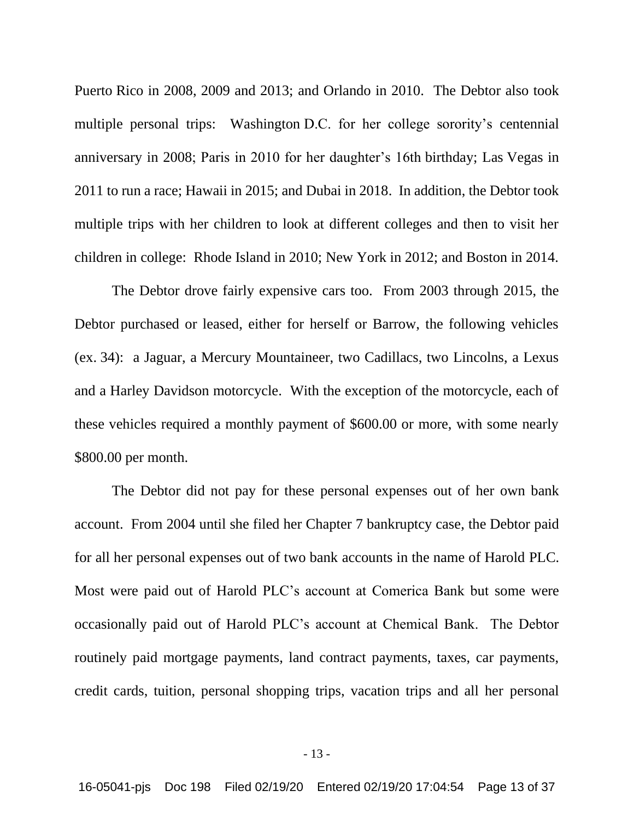Puerto Rico in 2008, 2009 and 2013; and Orlando in 2010. The Debtor also took multiple personal trips: Washington D.C. for her college sorority's centennial anniversary in 2008; Paris in 2010 for her daughter's 16th birthday; Las Vegas in 2011 to run a race; Hawaii in 2015; and Dubai in 2018. In addition, the Debtor took multiple trips with her children to look at different colleges and then to visit her children in college: Rhode Island in 2010; New York in 2012; and Boston in 2014.

The Debtor drove fairly expensive cars too. From 2003 through 2015, the Debtor purchased or leased, either for herself or Barrow, the following vehicles (ex. 34): a Jaguar, a Mercury Mountaineer, two Cadillacs, two Lincolns, a Lexus and a Harley Davidson motorcycle. With the exception of the motorcycle, each of these vehicles required a monthly payment of \$600.00 or more, with some nearly \$800.00 per month.

The Debtor did not pay for these personal expenses out of her own bank account. From 2004 until she filed her Chapter 7 bankruptcy case, the Debtor paid for all her personal expenses out of two bank accounts in the name of Harold PLC. Most were paid out of Harold PLC's account at Comerica Bank but some were occasionally paid out of Harold PLC's account at Chemical Bank. The Debtor routinely paid mortgage payments, land contract payments, taxes, car payments, credit cards, tuition, personal shopping trips, vacation trips and all her personal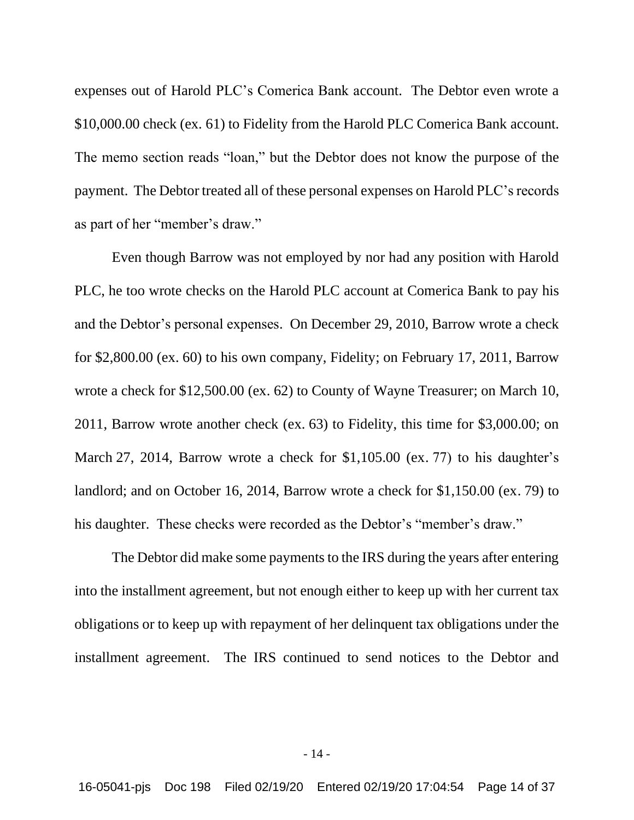expenses out of Harold PLC's Comerica Bank account. The Debtor even wrote a \$10,000.00 check (ex. 61) to Fidelity from the Harold PLC Comerica Bank account. The memo section reads "loan," but the Debtor does not know the purpose of the payment. The Debtor treated all of these personal expenses on Harold PLC's records as part of her "member's draw."

Even though Barrow was not employed by nor had any position with Harold PLC, he too wrote checks on the Harold PLC account at Comerica Bank to pay his and the Debtor's personal expenses. On December 29, 2010, Barrow wrote a check for \$2,800.00 (ex. 60) to his own company, Fidelity; on February 17, 2011, Barrow wrote a check for \$12,500.00 (ex. 62) to County of Wayne Treasurer; on March 10, 2011, Barrow wrote another check (ex. 63) to Fidelity, this time for \$3,000.00; on March 27, 2014, Barrow wrote a check for \$1,105.00 (ex. 77) to his daughter's landlord; and on October 16, 2014, Barrow wrote a check for \$1,150.00 (ex. 79) to his daughter. These checks were recorded as the Debtor's "member's draw."

The Debtor did make some payments to the IRS during the years after entering into the installment agreement, but not enough either to keep up with her current tax obligations or to keep up with repayment of her delinquent tax obligations under the installment agreement. The IRS continued to send notices to the Debtor and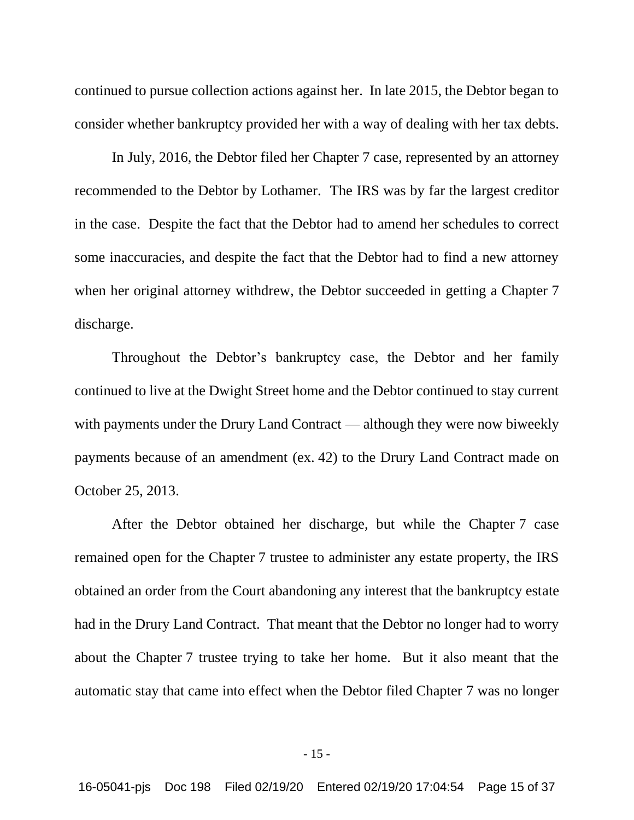continued to pursue collection actions against her. In late 2015, the Debtor began to consider whether bankruptcy provided her with a way of dealing with her tax debts.

In July, 2016, the Debtor filed her Chapter 7 case, represented by an attorney recommended to the Debtor by Lothamer. The IRS was by far the largest creditor in the case. Despite the fact that the Debtor had to amend her schedules to correct some inaccuracies, and despite the fact that the Debtor had to find a new attorney when her original attorney withdrew, the Debtor succeeded in getting a Chapter 7 discharge.

Throughout the Debtor's bankruptcy case, the Debtor and her family continued to live at the Dwight Street home and the Debtor continued to stay current with payments under the Drury Land Contract — although they were now biweekly payments because of an amendment (ex. 42) to the Drury Land Contract made on October 25, 2013.

After the Debtor obtained her discharge, but while the Chapter 7 case remained open for the Chapter 7 trustee to administer any estate property, the IRS obtained an order from the Court abandoning any interest that the bankruptcy estate had in the Drury Land Contract. That meant that the Debtor no longer had to worry about the Chapter 7 trustee trying to take her home. But it also meant that the automatic stay that came into effect when the Debtor filed Chapter 7 was no longer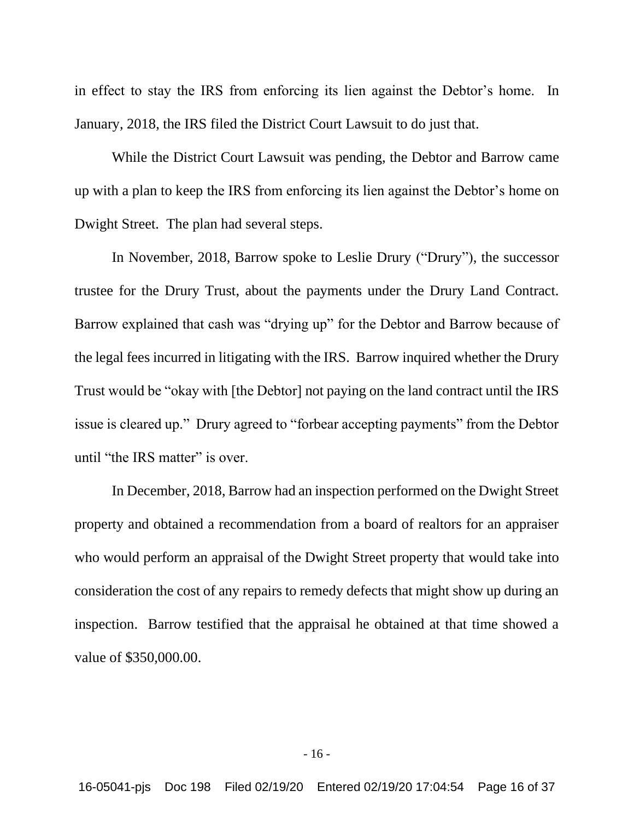in effect to stay the IRS from enforcing its lien against the Debtor's home. In January, 2018, the IRS filed the District Court Lawsuit to do just that.

While the District Court Lawsuit was pending, the Debtor and Barrow came up with a plan to keep the IRS from enforcing its lien against the Debtor's home on Dwight Street. The plan had several steps.

In November, 2018, Barrow spoke to Leslie Drury ("Drury"), the successor trustee for the Drury Trust, about the payments under the Drury Land Contract. Barrow explained that cash was "drying up" for the Debtor and Barrow because of the legal fees incurred in litigating with the IRS. Barrow inquired whether the Drury Trust would be "okay with [the Debtor] not paying on the land contract until the IRS issue is cleared up." Drury agreed to "forbear accepting payments" from the Debtor until "the IRS matter" is over.

In December, 2018, Barrow had an inspection performed on the Dwight Street property and obtained a recommendation from a board of realtors for an appraiser who would perform an appraisal of the Dwight Street property that would take into consideration the cost of any repairs to remedy defects that might show up during an inspection. Barrow testified that the appraisal he obtained at that time showed a value of \$350,000.00.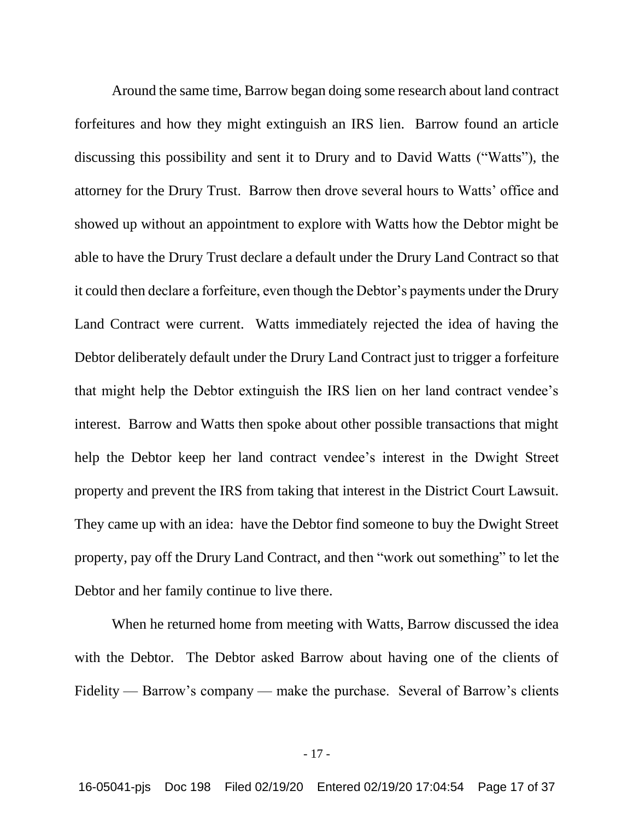Around the same time, Barrow began doing some research about land contract forfeitures and how they might extinguish an IRS lien. Barrow found an article discussing this possibility and sent it to Drury and to David Watts ("Watts"), the attorney for the Drury Trust. Barrow then drove several hours to Watts' office and showed up without an appointment to explore with Watts how the Debtor might be able to have the Drury Trust declare a default under the Drury Land Contract so that it could then declare a forfeiture, even though the Debtor's payments under the Drury Land Contract were current. Watts immediately rejected the idea of having the Debtor deliberately default under the Drury Land Contract just to trigger a forfeiture that might help the Debtor extinguish the IRS lien on her land contract vendee's interest. Barrow and Watts then spoke about other possible transactions that might help the Debtor keep her land contract vendee's interest in the Dwight Street property and prevent the IRS from taking that interest in the District Court Lawsuit. They came up with an idea: have the Debtor find someone to buy the Dwight Street property, pay off the Drury Land Contract, and then "work out something" to let the Debtor and her family continue to live there.

When he returned home from meeting with Watts, Barrow discussed the idea with the Debtor. The Debtor asked Barrow about having one of the clients of Fidelity — Barrow's company — make the purchase. Several of Barrow's clients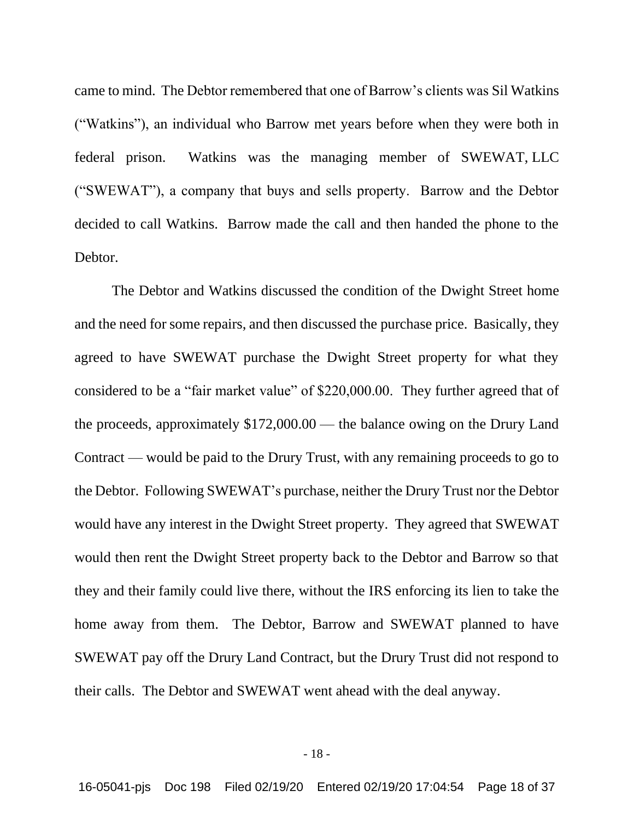came to mind. The Debtor remembered that one of Barrow's clients was Sil Watkins ("Watkins"), an individual who Barrow met years before when they were both in federal prison. Watkins was the managing member of SWEWAT, LLC ("SWEWAT"), a company that buys and sells property. Barrow and the Debtor decided to call Watkins. Barrow made the call and then handed the phone to the Debtor.

The Debtor and Watkins discussed the condition of the Dwight Street home and the need for some repairs, and then discussed the purchase price. Basically, they agreed to have SWEWAT purchase the Dwight Street property for what they considered to be a "fair market value" of \$220,000.00. They further agreed that of the proceeds, approximately \$172,000.00 — the balance owing on the Drury Land Contract — would be paid to the Drury Trust, with any remaining proceeds to go to the Debtor. Following SWEWAT's purchase, neither the Drury Trust nor the Debtor would have any interest in the Dwight Street property. They agreed that SWEWAT would then rent the Dwight Street property back to the Debtor and Barrow so that they and their family could live there, without the IRS enforcing its lien to take the home away from them. The Debtor, Barrow and SWEWAT planned to have SWEWAT pay off the Drury Land Contract, but the Drury Trust did not respond to their calls. The Debtor and SWEWAT went ahead with the deal anyway.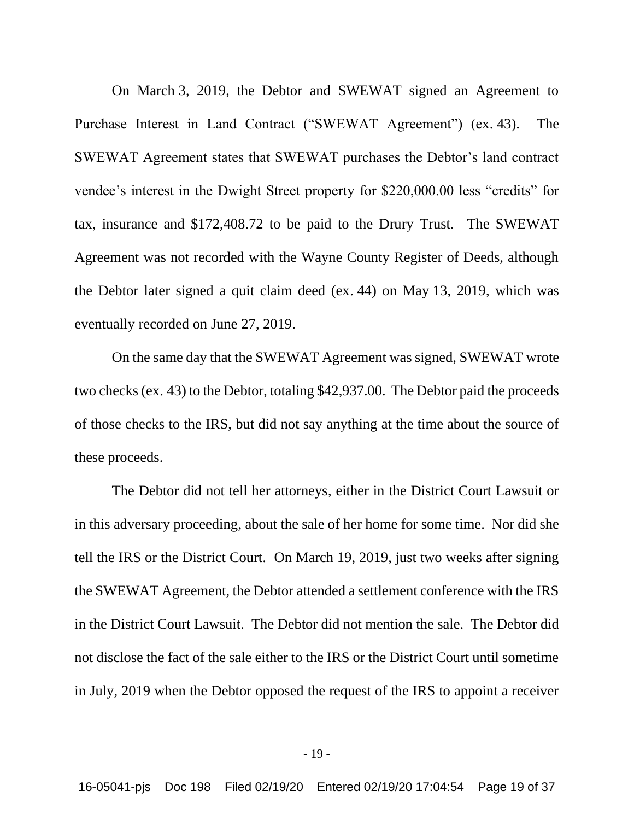On March 3, 2019, the Debtor and SWEWAT signed an Agreement to Purchase Interest in Land Contract ("SWEWAT Agreement") (ex. 43). The SWEWAT Agreement states that SWEWAT purchases the Debtor's land contract vendee's interest in the Dwight Street property for \$220,000.00 less "credits" for tax, insurance and \$172,408.72 to be paid to the Drury Trust. The SWEWAT Agreement was not recorded with the Wayne County Register of Deeds, although the Debtor later signed a quit claim deed (ex. 44) on May 13, 2019, which was eventually recorded on June 27, 2019.

On the same day that the SWEWAT Agreement was signed, SWEWAT wrote two checks (ex. 43) to the Debtor, totaling \$42,937.00. The Debtor paid the proceeds of those checks to the IRS, but did not say anything at the time about the source of these proceeds.

The Debtor did not tell her attorneys, either in the District Court Lawsuit or in this adversary proceeding, about the sale of her home for some time. Nor did she tell the IRS or the District Court. On March 19, 2019, just two weeks after signing the SWEWAT Agreement, the Debtor attended a settlement conference with the IRS in the District Court Lawsuit. The Debtor did not mention the sale. The Debtor did not disclose the fact of the sale either to the IRS or the District Court until sometime in July, 2019 when the Debtor opposed the request of the IRS to appoint a receiver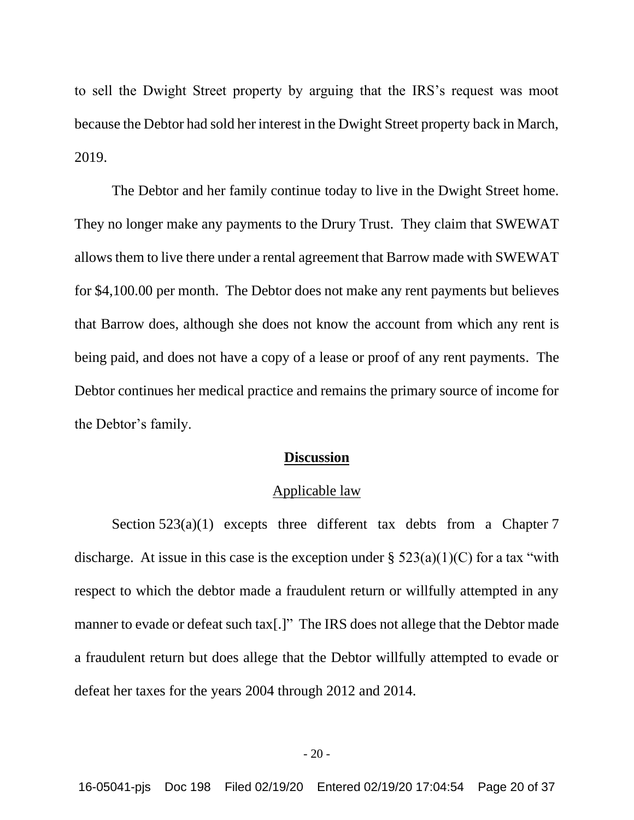to sell the Dwight Street property by arguing that the IRS's request was moot because the Debtor had sold her interest in the Dwight Street property back in March, 2019.

The Debtor and her family continue today to live in the Dwight Street home. They no longer make any payments to the Drury Trust. They claim that SWEWAT allows them to live there under a rental agreement that Barrow made with SWEWAT for \$4,100.00 per month. The Debtor does not make any rent payments but believes that Barrow does, although she does not know the account from which any rent is being paid, and does not have a copy of a lease or proof of any rent payments. The Debtor continues her medical practice and remains the primary source of income for the Debtor's family.

## **Discussion**

#### Applicable law

Section  $523(a)(1)$  excepts three different tax debts from a Chapter 7 discharge. At issue in this case is the exception under  $\S$  523(a)(1)(C) for a tax "with respect to which the debtor made a fraudulent return or willfully attempted in any manner to evade or defeat such tax[.]" The IRS does not allege that the Debtor made a fraudulent return but does allege that the Debtor willfully attempted to evade or defeat her taxes for the years 2004 through 2012 and 2014.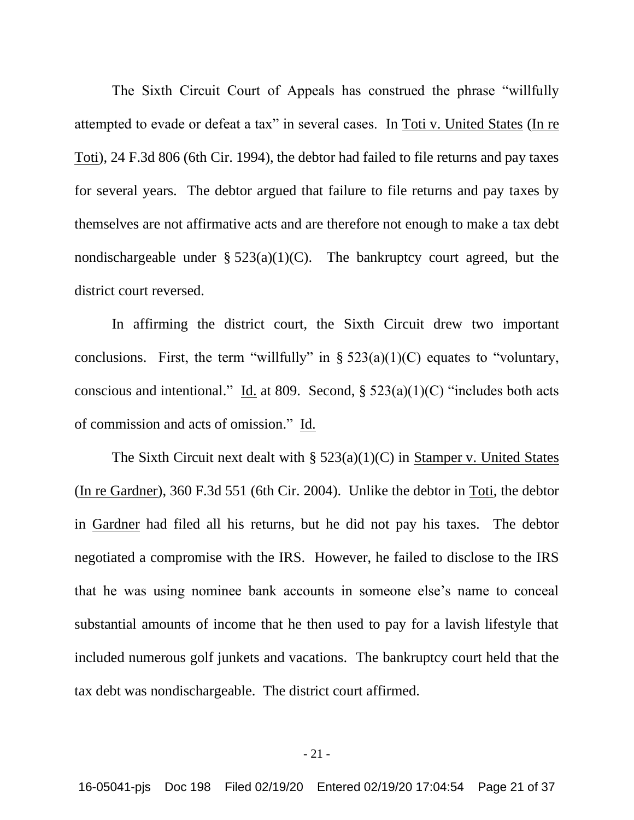The Sixth Circuit Court of Appeals has construed the phrase "willfully attempted to evade or defeat a tax" in several cases. In Toti v. United States (In re Toti), 24 F.3d 806 (6th Cir. 1994), the debtor had failed to file returns and pay taxes for several years. The debtor argued that failure to file returns and pay taxes by themselves are not affirmative acts and are therefore not enough to make a tax debt nondischargeable under  $\S 523(a)(1)(C)$ . The bankruptcy court agreed, but the district court reversed.

In affirming the district court, the Sixth Circuit drew two important conclusions. First, the term "willfully" in  $\S 523(a)(1)(C)$  equates to "voluntary, conscious and intentional." Id. at 809. Second,  $\S$  523(a)(1)(C) "includes both acts of commission and acts of omission." Id.

The Sixth Circuit next dealt with  $\S$  523(a)(1)(C) in Stamper v. United States (In re Gardner), 360 F.3d 551 (6th Cir. 2004). Unlike the debtor in Toti, the debtor in Gardner had filed all his returns, but he did not pay his taxes. The debtor negotiated a compromise with the IRS. However, he failed to disclose to the IRS that he was using nominee bank accounts in someone else's name to conceal substantial amounts of income that he then used to pay for a lavish lifestyle that included numerous golf junkets and vacations. The bankruptcy court held that the tax debt was nondischargeable. The district court affirmed.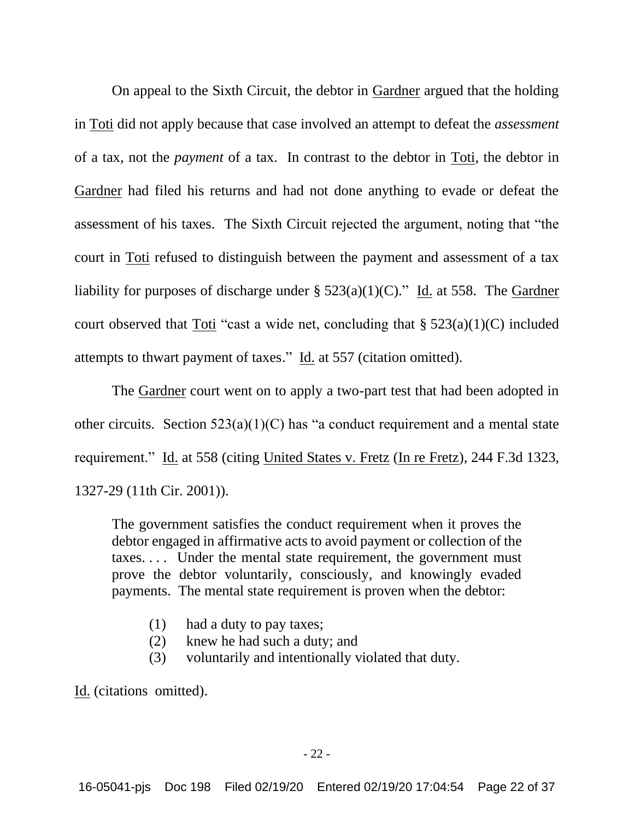On appeal to the Sixth Circuit, the debtor in Gardner argued that the holding in Toti did not apply because that case involved an attempt to defeat the *assessment* of a tax, not the *payment* of a tax. In contrast to the debtor in Toti, the debtor in Gardner had filed his returns and had not done anything to evade or defeat the assessment of his taxes. The Sixth Circuit rejected the argument, noting that "the court in Toti refused to distinguish between the payment and assessment of a tax liability for purposes of discharge under  $\S$  523(a)(1)(C)." Id. at 558. The Gardner court observed that Toti "cast a wide net, concluding that  $\S 523(a)(1)(C)$  included attempts to thwart payment of taxes." Id. at 557 (citation omitted).

The Gardner court went on to apply a two-part test that had been adopted in other circuits. Section  $523(a)(1)(C)$  has "a conduct requirement and a mental state requirement." Id. at 558 (citing United States v. Fretz (In re Fretz), 244 F.3d 1323, 1327-29 (11th Cir. 2001)).

The government satisfies the conduct requirement when it proves the debtor engaged in affirmative acts to avoid payment or collection of the taxes. . . . Under the mental state requirement, the government must prove the debtor voluntarily, consciously, and knowingly evaded payments. The mental state requirement is proven when the debtor:

- (1) had a duty to pay taxes;
- (2) knew he had such a duty; and
- (3) voluntarily and intentionally violated that duty.

Id. (citations omitted).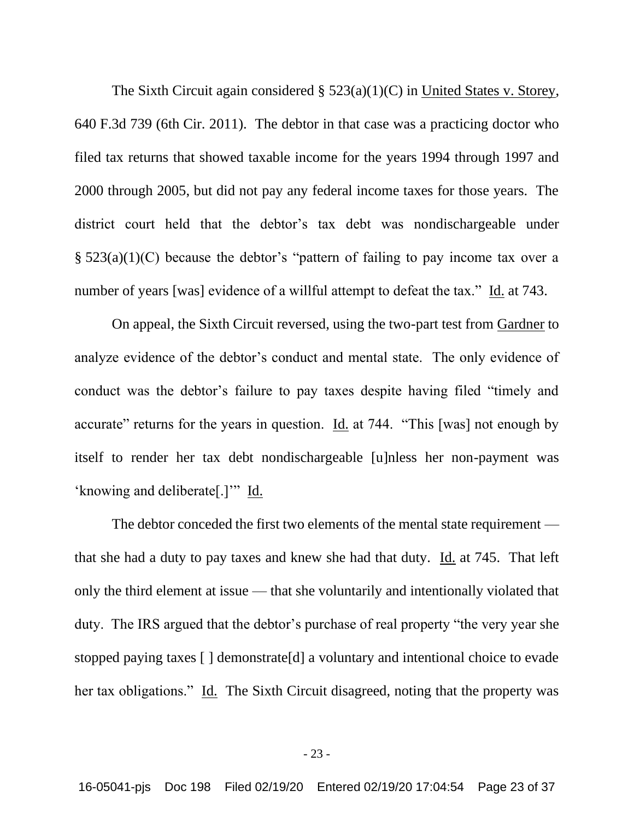The Sixth Circuit again considered § 523(a)(1)(C) in United States v. Storey, 640 F.3d 739 (6th Cir. 2011). The debtor in that case was a practicing doctor who filed tax returns that showed taxable income for the years 1994 through 1997 and 2000 through 2005, but did not pay any federal income taxes for those years. The district court held that the debtor's tax debt was nondischargeable under § 523(a)(1)(C) because the debtor's "pattern of failing to pay income tax over a number of years [was] evidence of a willful attempt to defeat the tax." Id. at 743.

On appeal, the Sixth Circuit reversed, using the two-part test from Gardner to analyze evidence of the debtor's conduct and mental state. The only evidence of conduct was the debtor's failure to pay taxes despite having filed "timely and accurate" returns for the years in question. Id. at 744. "This [was] not enough by itself to render her tax debt nondischargeable [u]nless her non-payment was 'knowing and deliberate[.]'" Id.

The debtor conceded the first two elements of the mental state requirement that she had a duty to pay taxes and knew she had that duty. Id. at 745. That left only the third element at issue — that she voluntarily and intentionally violated that duty. The IRS argued that the debtor's purchase of real property "the very year she stopped paying taxes [ ] demonstrate[d] a voluntary and intentional choice to evade her tax obligations." Id. The Sixth Circuit disagreed, noting that the property was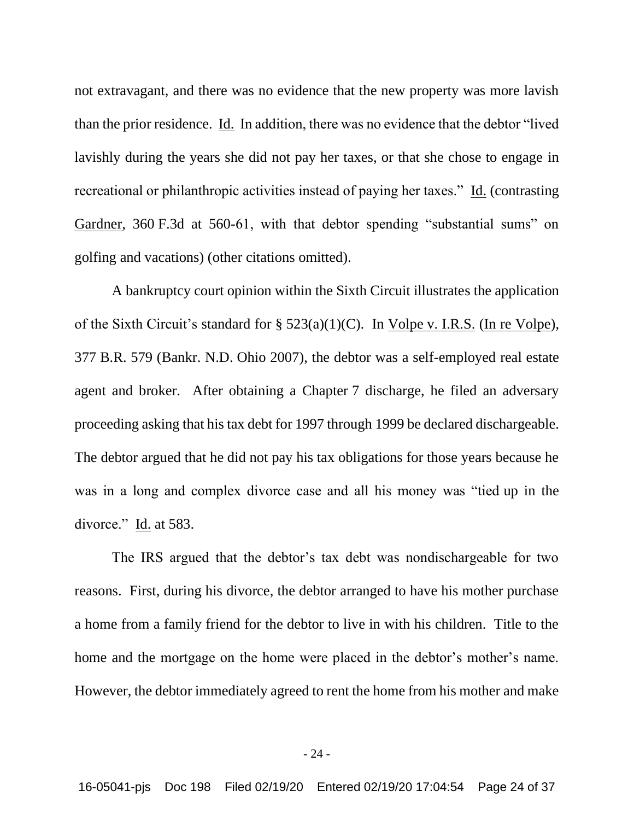not extravagant, and there was no evidence that the new property was more lavish than the prior residence. Id. In addition, there was no evidence that the debtor "lived lavishly during the years she did not pay her taxes, or that she chose to engage in recreational or philanthropic activities instead of paying her taxes." Id. (contrasting Gardner, 360 F.3d at 560-61, with that debtor spending "substantial sums" on golfing and vacations) (other citations omitted).

A bankruptcy court opinion within the Sixth Circuit illustrates the application of the Sixth Circuit's standard for  $\S$  523(a)(1)(C). In Volpe v. I.R.S. (In re Volpe), 377 B.R. 579 (Bankr. N.D. Ohio 2007), the debtor was a self-employed real estate agent and broker. After obtaining a Chapter 7 discharge, he filed an adversary proceeding asking that his tax debt for 1997 through 1999 be declared dischargeable. The debtor argued that he did not pay his tax obligations for those years because he was in a long and complex divorce case and all his money was "tied up in the divorce." Id. at 583.

The IRS argued that the debtor's tax debt was nondischargeable for two reasons. First, during his divorce, the debtor arranged to have his mother purchase a home from a family friend for the debtor to live in with his children. Title to the home and the mortgage on the home were placed in the debtor's mother's name. However, the debtor immediately agreed to rent the home from his mother and make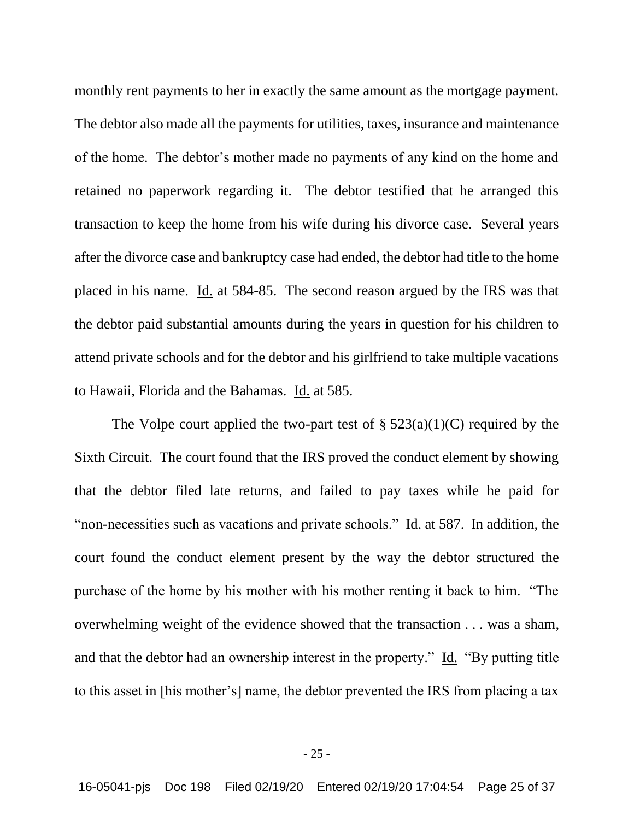monthly rent payments to her in exactly the same amount as the mortgage payment. The debtor also made all the payments for utilities, taxes, insurance and maintenance of the home. The debtor's mother made no payments of any kind on the home and retained no paperwork regarding it. The debtor testified that he arranged this transaction to keep the home from his wife during his divorce case. Several years after the divorce case and bankruptcy case had ended, the debtor had title to the home placed in his name. Id. at 584-85. The second reason argued by the IRS was that the debtor paid substantial amounts during the years in question for his children to attend private schools and for the debtor and his girlfriend to take multiple vacations to Hawaii, Florida and the Bahamas. Id. at 585.

The Volpe court applied the two-part test of  $\S$  523(a)(1)(C) required by the Sixth Circuit. The court found that the IRS proved the conduct element by showing that the debtor filed late returns, and failed to pay taxes while he paid for "non-necessities such as vacations and private schools." Id. at 587. In addition, the court found the conduct element present by the way the debtor structured the purchase of the home by his mother with his mother renting it back to him. "The overwhelming weight of the evidence showed that the transaction . . . was a sham, and that the debtor had an ownership interest in the property." Id. "By putting title to this asset in [his mother's] name, the debtor prevented the IRS from placing a tax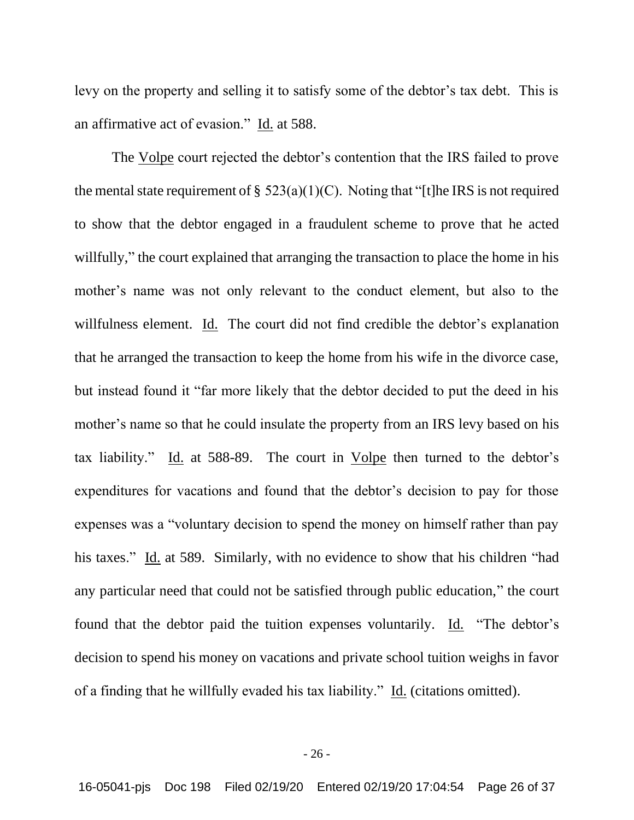levy on the property and selling it to satisfy some of the debtor's tax debt. This is an affirmative act of evasion." Id. at 588.

The Volpe court rejected the debtor's contention that the IRS failed to prove the mental state requirement of §  $523(a)(1)(C)$ . Noting that "[t]he IRS is not required to show that the debtor engaged in a fraudulent scheme to prove that he acted willfully," the court explained that arranging the transaction to place the home in his mother's name was not only relevant to the conduct element, but also to the willfulness element. Id. The court did not find credible the debtor's explanation that he arranged the transaction to keep the home from his wife in the divorce case, but instead found it "far more likely that the debtor decided to put the deed in his mother's name so that he could insulate the property from an IRS levy based on his tax liability." Id. at 588-89. The court in Volpe then turned to the debtor's expenditures for vacations and found that the debtor's decision to pay for those expenses was a "voluntary decision to spend the money on himself rather than pay his taxes." Id. at 589. Similarly, with no evidence to show that his children "had any particular need that could not be satisfied through public education," the court found that the debtor paid the tuition expenses voluntarily. Id. "The debtor's decision to spend his money on vacations and private school tuition weighs in favor of a finding that he willfully evaded his tax liability." Id. (citations omitted).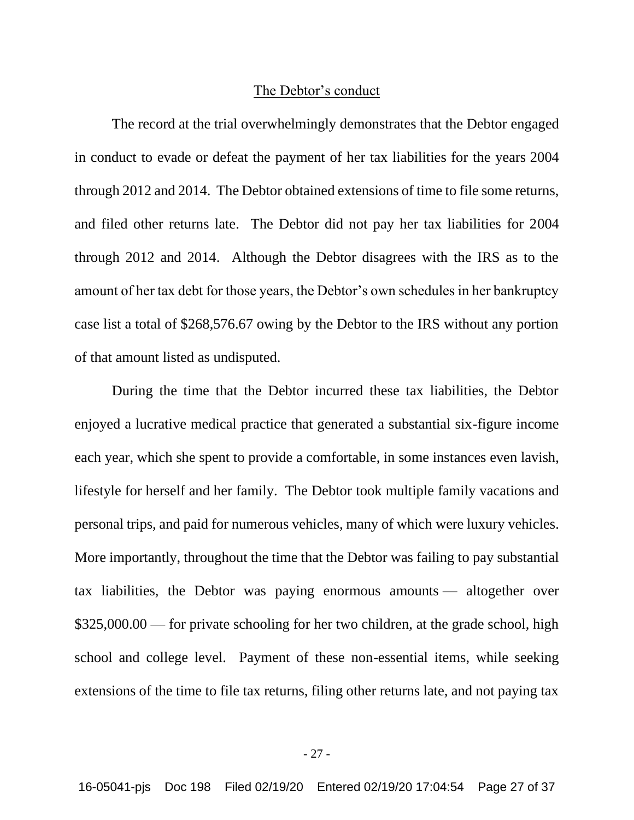### The Debtor's conduct

The record at the trial overwhelmingly demonstrates that the Debtor engaged in conduct to evade or defeat the payment of her tax liabilities for the years 2004 through 2012 and 2014. The Debtor obtained extensions of time to file some returns, and filed other returns late. The Debtor did not pay her tax liabilities for 2004 through 2012 and 2014. Although the Debtor disagrees with the IRS as to the amount of her tax debt for those years, the Debtor's own schedules in her bankruptcy case list a total of \$268,576.67 owing by the Debtor to the IRS without any portion of that amount listed as undisputed.

During the time that the Debtor incurred these tax liabilities, the Debtor enjoyed a lucrative medical practice that generated a substantial six-figure income each year, which she spent to provide a comfortable, in some instances even lavish, lifestyle for herself and her family. The Debtor took multiple family vacations and personal trips, and paid for numerous vehicles, many of which were luxury vehicles. More importantly, throughout the time that the Debtor was failing to pay substantial tax liabilities, the Debtor was paying enormous amounts — altogether over \$325,000.00 — for private schooling for her two children, at the grade school, high school and college level. Payment of these non-essential items, while seeking extensions of the time to file tax returns, filing other returns late, and not paying tax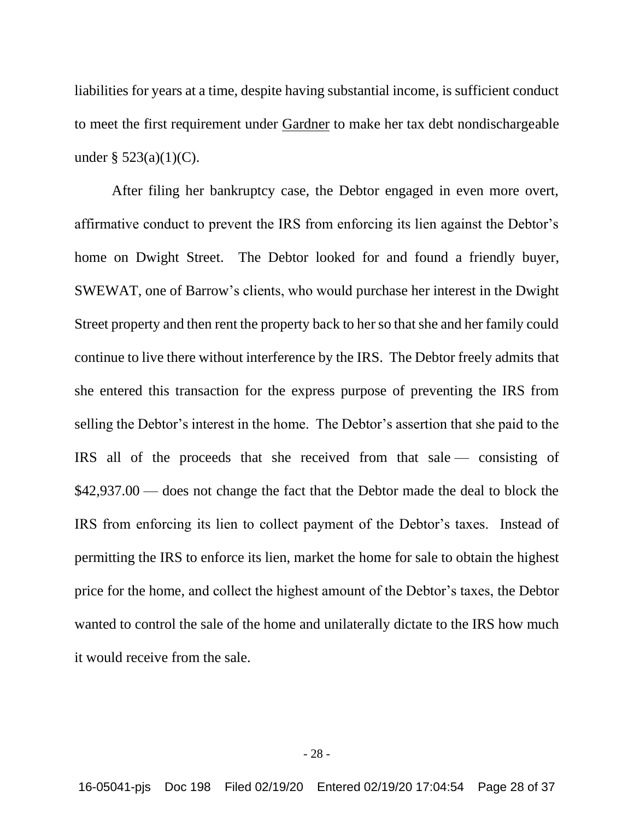liabilities for years at a time, despite having substantial income, is sufficient conduct to meet the first requirement under Gardner to make her tax debt nondischargeable under §  $523(a)(1)(C)$ .

After filing her bankruptcy case, the Debtor engaged in even more overt, affirmative conduct to prevent the IRS from enforcing its lien against the Debtor's home on Dwight Street. The Debtor looked for and found a friendly buyer, SWEWAT, one of Barrow's clients, who would purchase her interest in the Dwight Street property and then rent the property back to her so that she and her family could continue to live there without interference by the IRS. The Debtor freely admits that she entered this transaction for the express purpose of preventing the IRS from selling the Debtor's interest in the home. The Debtor's assertion that she paid to the IRS all of the proceeds that she received from that sale — consisting of \$42,937.00 — does not change the fact that the Debtor made the deal to block the IRS from enforcing its lien to collect payment of the Debtor's taxes. Instead of permitting the IRS to enforce its lien, market the home for sale to obtain the highest price for the home, and collect the highest amount of the Debtor's taxes, the Debtor wanted to control the sale of the home and unilaterally dictate to the IRS how much it would receive from the sale.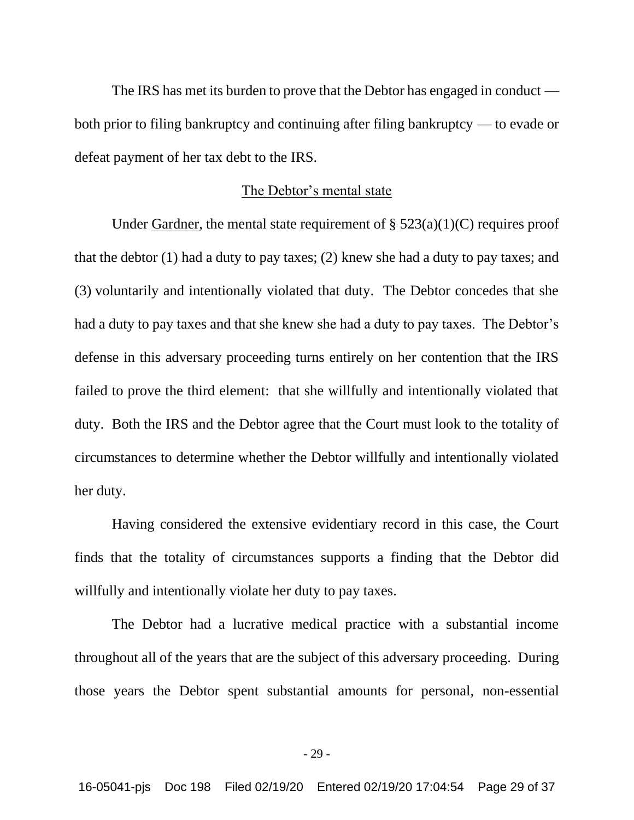The IRS has met its burden to prove that the Debtor has engaged in conduct both prior to filing bankruptcy and continuing after filing bankruptcy — to evade or defeat payment of her tax debt to the IRS.

### The Debtor's mental state

Under Gardner, the mental state requirement of  $\S$  523(a)(1)(C) requires proof that the debtor (1) had a duty to pay taxes; (2) knew she had a duty to pay taxes; and (3) voluntarily and intentionally violated that duty. The Debtor concedes that she had a duty to pay taxes and that she knew she had a duty to pay taxes. The Debtor's defense in this adversary proceeding turns entirely on her contention that the IRS failed to prove the third element: that she willfully and intentionally violated that duty. Both the IRS and the Debtor agree that the Court must look to the totality of circumstances to determine whether the Debtor willfully and intentionally violated her duty.

Having considered the extensive evidentiary record in this case, the Court finds that the totality of circumstances supports a finding that the Debtor did willfully and intentionally violate her duty to pay taxes.

The Debtor had a lucrative medical practice with a substantial income throughout all of the years that are the subject of this adversary proceeding. During those years the Debtor spent substantial amounts for personal, non-essential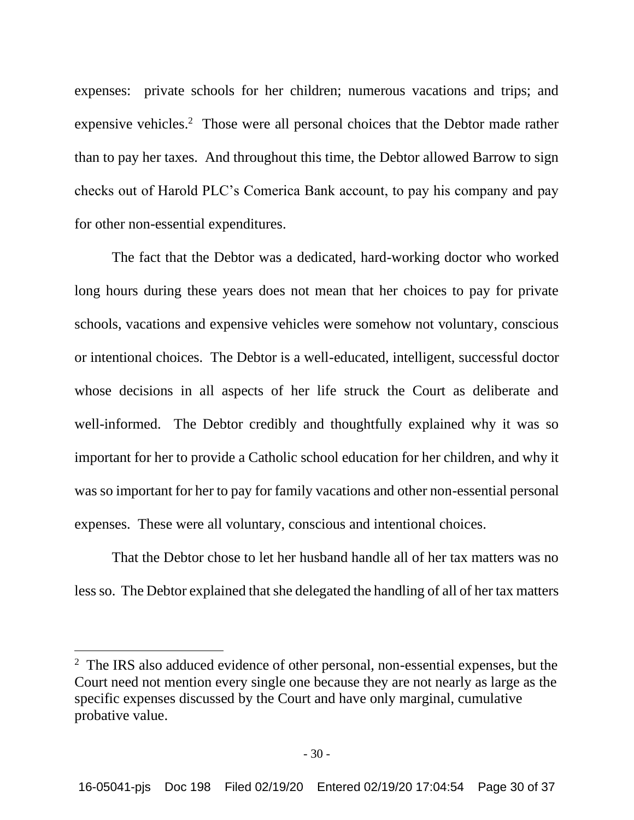expenses: private schools for her children; numerous vacations and trips; and expensive vehicles.<sup>2</sup> Those were all personal choices that the Debtor made rather than to pay her taxes. And throughout this time, the Debtor allowed Barrow to sign checks out of Harold PLC's Comerica Bank account, to pay his company and pay for other non-essential expenditures.

The fact that the Debtor was a dedicated, hard-working doctor who worked long hours during these years does not mean that her choices to pay for private schools, vacations and expensive vehicles were somehow not voluntary, conscious or intentional choices. The Debtor is a well-educated, intelligent, successful doctor whose decisions in all aspects of her life struck the Court as deliberate and well-informed. The Debtor credibly and thoughtfully explained why it was so important for her to provide a Catholic school education for her children, and why it was so important for her to pay for family vacations and other non-essential personal expenses. These were all voluntary, conscious and intentional choices.

That the Debtor chose to let her husband handle all of her tax matters was no less so. The Debtor explained that she delegated the handling of all of her tax matters

<sup>&</sup>lt;sup>2</sup> The IRS also adduced evidence of other personal, non-essential expenses, but the Court need not mention every single one because they are not nearly as large as the specific expenses discussed by the Court and have only marginal, cumulative probative value.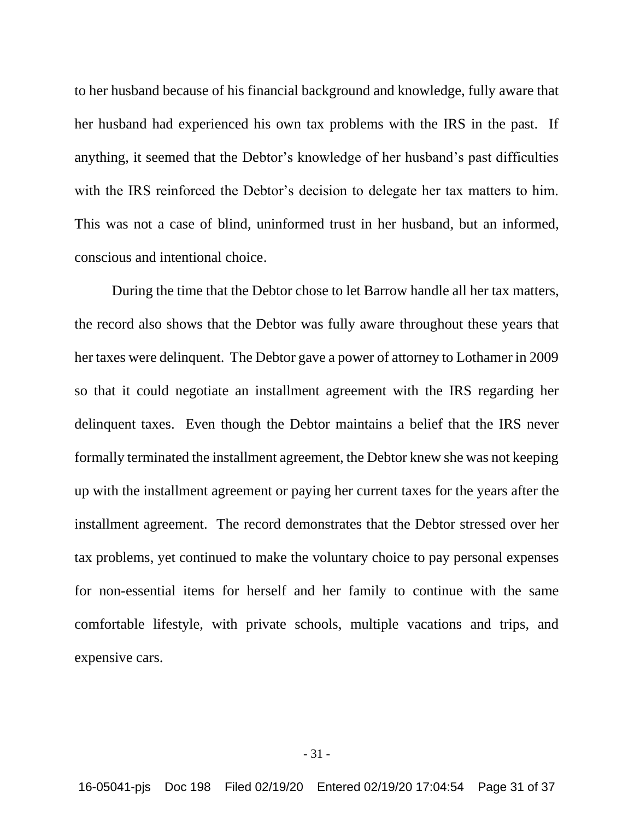to her husband because of his financial background and knowledge, fully aware that her husband had experienced his own tax problems with the IRS in the past. If anything, it seemed that the Debtor's knowledge of her husband's past difficulties with the IRS reinforced the Debtor's decision to delegate her tax matters to him. This was not a case of blind, uninformed trust in her husband, but an informed, conscious and intentional choice.

During the time that the Debtor chose to let Barrow handle all her tax matters, the record also shows that the Debtor was fully aware throughout these years that her taxes were delinquent. The Debtor gave a power of attorney to Lothamer in 2009 so that it could negotiate an installment agreement with the IRS regarding her delinquent taxes. Even though the Debtor maintains a belief that the IRS never formally terminated the installment agreement, the Debtor knew she was not keeping up with the installment agreement or paying her current taxes for the years after the installment agreement. The record demonstrates that the Debtor stressed over her tax problems, yet continued to make the voluntary choice to pay personal expenses for non-essential items for herself and her family to continue with the same comfortable lifestyle, with private schools, multiple vacations and trips, and expensive cars.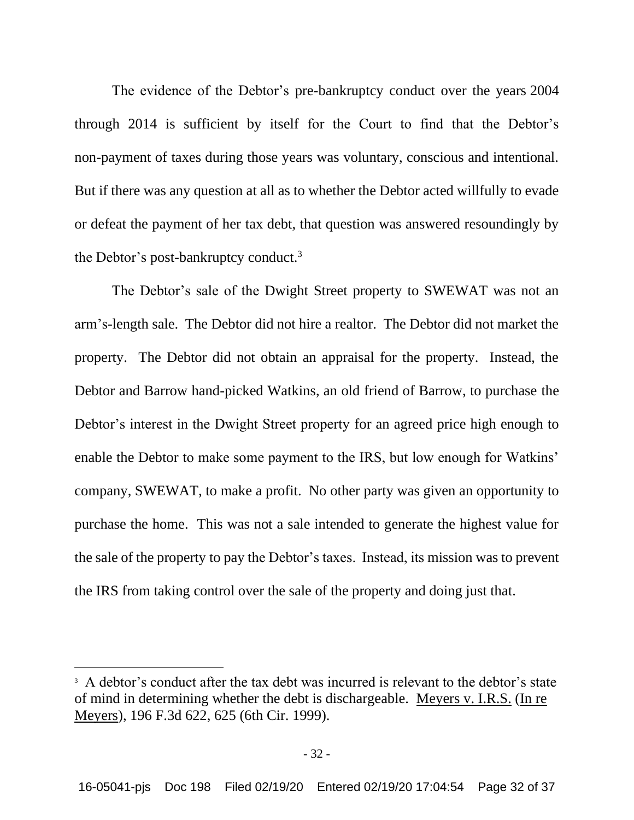The evidence of the Debtor's pre-bankruptcy conduct over the years 2004 through 2014 is sufficient by itself for the Court to find that the Debtor's non-payment of taxes during those years was voluntary, conscious and intentional. But if there was any question at all as to whether the Debtor acted willfully to evade or defeat the payment of her tax debt, that question was answered resoundingly by the Debtor's post-bankruptcy conduct.<sup>3</sup>

The Debtor's sale of the Dwight Street property to SWEWAT was not an arm's-length sale. The Debtor did not hire a realtor. The Debtor did not market the property. The Debtor did not obtain an appraisal for the property. Instead, the Debtor and Barrow hand-picked Watkins, an old friend of Barrow, to purchase the Debtor's interest in the Dwight Street property for an agreed price high enough to enable the Debtor to make some payment to the IRS, but low enough for Watkins' company, SWEWAT, to make a profit. No other party was given an opportunity to purchase the home. This was not a sale intended to generate the highest value for the sale of the property to pay the Debtor's taxes. Instead, its mission was to prevent the IRS from taking control over the sale of the property and doing just that.

<sup>&</sup>lt;sup>3</sup> A debtor's conduct after the tax debt was incurred is relevant to the debtor's state of mind in determining whether the debt is dischargeable. Meyers v. I.R.S. (In re Meyers), 196 F.3d 622, 625 (6th Cir. 1999).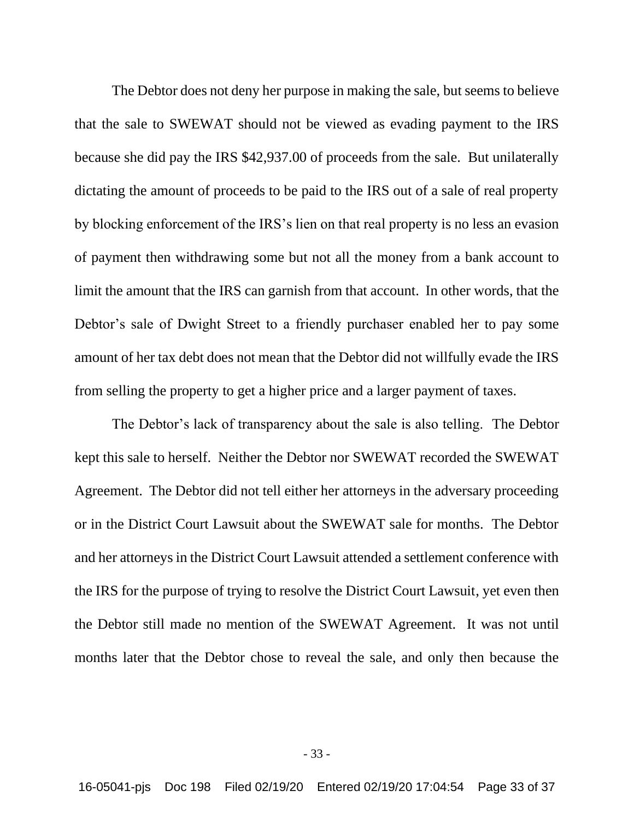The Debtor does not deny her purpose in making the sale, but seems to believe that the sale to SWEWAT should not be viewed as evading payment to the IRS because she did pay the IRS \$42,937.00 of proceeds from the sale. But unilaterally dictating the amount of proceeds to be paid to the IRS out of a sale of real property by blocking enforcement of the IRS's lien on that real property is no less an evasion of payment then withdrawing some but not all the money from a bank account to limit the amount that the IRS can garnish from that account. In other words, that the Debtor's sale of Dwight Street to a friendly purchaser enabled her to pay some amount of her tax debt does not mean that the Debtor did not willfully evade the IRS from selling the property to get a higher price and a larger payment of taxes.

The Debtor's lack of transparency about the sale is also telling. The Debtor kept this sale to herself. Neither the Debtor nor SWEWAT recorded the SWEWAT Agreement. The Debtor did not tell either her attorneys in the adversary proceeding or in the District Court Lawsuit about the SWEWAT sale for months. The Debtor and her attorneys in the District Court Lawsuit attended a settlement conference with the IRS for the purpose of trying to resolve the District Court Lawsuit, yet even then the Debtor still made no mention of the SWEWAT Agreement. It was not until months later that the Debtor chose to reveal the sale, and only then because the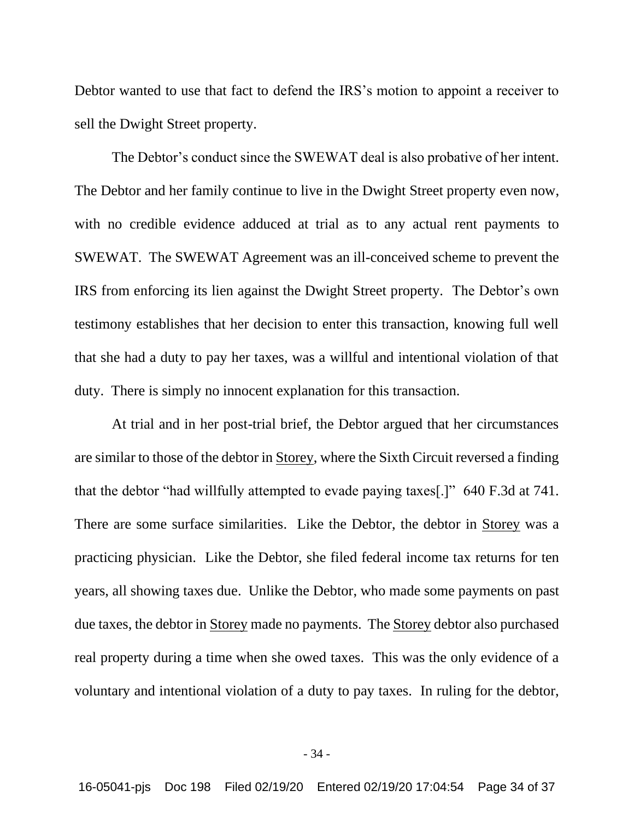Debtor wanted to use that fact to defend the IRS's motion to appoint a receiver to sell the Dwight Street property.

The Debtor's conduct since the SWEWAT deal is also probative of her intent. The Debtor and her family continue to live in the Dwight Street property even now, with no credible evidence adduced at trial as to any actual rent payments to SWEWAT. The SWEWAT Agreement was an ill-conceived scheme to prevent the IRS from enforcing its lien against the Dwight Street property. The Debtor's own testimony establishes that her decision to enter this transaction, knowing full well that she had a duty to pay her taxes, was a willful and intentional violation of that duty. There is simply no innocent explanation for this transaction.

At trial and in her post-trial brief, the Debtor argued that her circumstances are similar to those of the debtor in Storey, where the Sixth Circuit reversed a finding that the debtor "had willfully attempted to evade paying taxes[.]" 640 F.3d at 741. There are some surface similarities. Like the Debtor, the debtor in Storey was a practicing physician. Like the Debtor, she filed federal income tax returns for ten years, all showing taxes due. Unlike the Debtor, who made some payments on past due taxes, the debtor in Storey made no payments. The Storey debtor also purchased real property during a time when she owed taxes. This was the only evidence of a voluntary and intentional violation of a duty to pay taxes. In ruling for the debtor,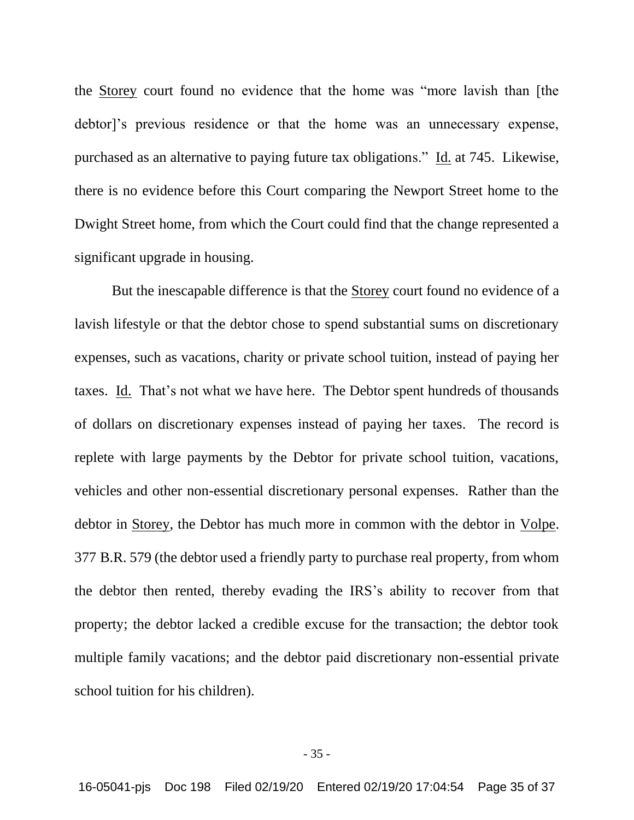the Storey court found no evidence that the home was "more lavish than [the debtor]'s previous residence or that the home was an unnecessary expense, purchased as an alternative to paying future tax obligations." Id. at 745. Likewise, there is no evidence before this Court comparing the Newport Street home to the Dwight Street home, from which the Court could find that the change represented a significant upgrade in housing.

But the inescapable difference is that the Storey court found no evidence of a lavish lifestyle or that the debtor chose to spend substantial sums on discretionary expenses, such as vacations, charity or private school tuition, instead of paying her taxes. Id. That's not what we have here. The Debtor spent hundreds of thousands of dollars on discretionary expenses instead of paying her taxes. The record is replete with large payments by the Debtor for private school tuition, vacations, vehicles and other non-essential discretionary personal expenses. Rather than the debtor in Storey, the Debtor has much more in common with the debtor in Volpe. 377 B.R. 579 (the debtor used a friendly party to purchase real property, from whom the debtor then rented, thereby evading the IRS's ability to recover from that property; the debtor lacked a credible excuse for the transaction; the debtor took multiple family vacations; and the debtor paid discretionary non-essential private school tuition for his children).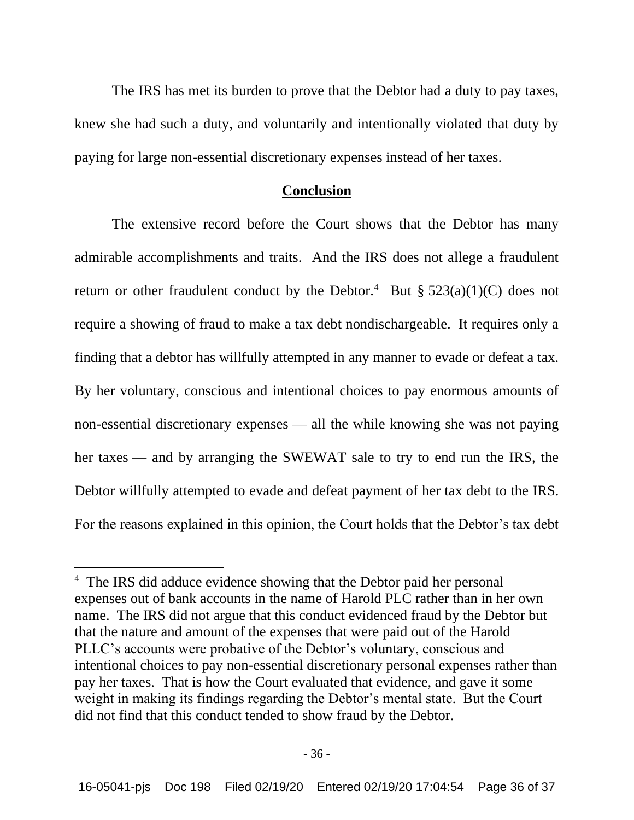The IRS has met its burden to prove that the Debtor had a duty to pay taxes, knew she had such a duty, and voluntarily and intentionally violated that duty by paying for large non-essential discretionary expenses instead of her taxes.

### **Conclusion**

The extensive record before the Court shows that the Debtor has many admirable accomplishments and traits. And the IRS does not allege a fraudulent return or other fraudulent conduct by the Debtor.<sup>4</sup> But §  $523(a)(1)(C)$  does not require a showing of fraud to make a tax debt nondischargeable. It requires only a finding that a debtor has willfully attempted in any manner to evade or defeat a tax. By her voluntary, conscious and intentional choices to pay enormous amounts of non-essential discretionary expenses — all the while knowing she was not paying her taxes — and by arranging the SWEWAT sale to try to end run the IRS, the Debtor willfully attempted to evade and defeat payment of her tax debt to the IRS. For the reasons explained in this opinion, the Court holds that the Debtor's tax debt

<sup>&</sup>lt;sup>4</sup> The IRS did adduce evidence showing that the Debtor paid her personal expenses out of bank accounts in the name of Harold PLC rather than in her own name. The IRS did not argue that this conduct evidenced fraud by the Debtor but that the nature and amount of the expenses that were paid out of the Harold PLLC's accounts were probative of the Debtor's voluntary, conscious and intentional choices to pay non-essential discretionary personal expenses rather than pay her taxes. That is how the Court evaluated that evidence, and gave it some weight in making its findings regarding the Debtor's mental state. But the Court did not find that this conduct tended to show fraud by the Debtor.